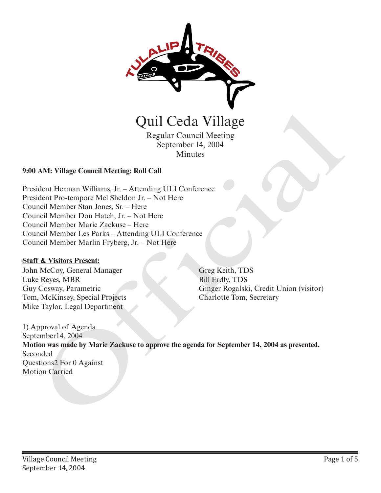

Quil Ceda Village

Regular Council Meeting September 14, 2004 Minutes

## **9:00 AM: Village Council Meeting: Roll Call**

President Herman Williams, Jr. – Attending ULI Conference President Pro-tempore Mel Sheldon Jr. – Not Here Council Member Stan Jones, Sr. – Here Council Member Don Hatch, Jr. – Not Here Council Member Marie Zackuse – Here Council Member Les Parks – Attending ULI Conference Council Member Marlin Fryberg, Jr. – Not Here

## **Staff & Visitors Present:**

John McCoy, General Manager Luke Reyes, MBR Guy Cosway, Parametric Tom, McKinsey, Special Projects Mike Taylor, Legal Department

Greg Keith, TDS Bill Erdly, TDS Ginger Rogalski, Credit Union (visitor) Charlotte Tom, Secretary

1) Approval of Agenda September14, 2004 **Motion was made by Marie Zackuse to approve the agenda for September 14, 2004 as presented.** Seconded Questions2 For 0 Against **Carried Regular Council Meeting**<br>
Regular Council Meeting<br>
September 14, 2004<br>
2000 AM: Village Council Meeting: Roll Call<br>
President Herman Williams, Jr. – Attending ULI Conference<br>
Council Member Dan House, Sr. – Teve H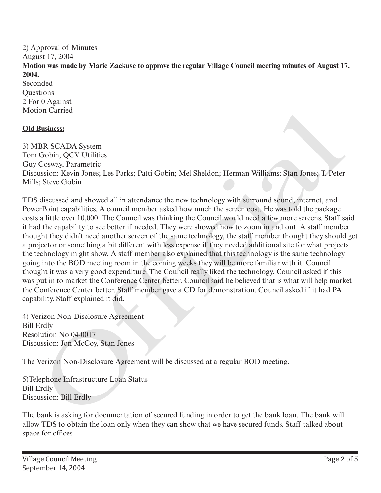2) Approval of Minutes August 17, 2004 **Motion was made by Marie Zackuse to approve the regular Village Council meeting minutes of August 17, 2004.** Seconded

**Ouestions** 2 For 0 Against Motion Carried

## **Old Business:**

3) MBR SCADA System Tom Gobin, QCV Utilities Guy Cosway, Parametric Discussion: Kevin Jones; Les Parks; Patti Gobin; Mel Sheldon; Herman Williams; Stan Jones; T. Peter Mills; Steve Gobin

TDS discussed and showed all in attendance the new technology with surround sound, internet, and PowerPoint capabilities. A council member asked how much the screen cost. He was told the package costs a little over 10,000. The Council was thinking the Council would need a few more screens. Staff said it had the capability to see better if needed. They were showed how to zoom in and out. A staff member thought they didn't need another screen of the same technology, the staff member thought they should get a projector or something a bit different with less expense if they needed additional site for what projects the technology might show. A staff member also explained that this technology is the same technology going into the BOD meeting room in the coming weeks they will be more familiar with it. Council thought it was a very good expenditure. The Council really liked the technology. Council asked if this was put in to market the Conference Center better. Council said he believed that is what will help market the Conference Center better. Staff member gave a CD for demonstration. Council asked if it had PA capability. Staff explained it did. Business:<br>
Business:<br>
Business:<br>
He SCADA System<br>
Gobin, OCV Utilities<br>
Cosway, Parametric<br>
Cosway, Parametric<br>
Cosway, Parametric<br>
Significial consects. Les Parks, Patti Gobin; Mel Sheldon; Herman Williams; Stan Jones; T.

4) Verizon Non-Disclosure Agreement Bill Erdly Resolution No 04-0017 Discussion: Jon McCoy, Stan Jones

The Verizon Non-Disclosure Agreement will be discussed at a regular BOD meeting.

5)Telephone Infrastructure Loan Status Bill Erdly Discussion: Bill Erdly

The bank is asking for documentation of secured funding in order to get the bank loan. The bank will allow TDS to obtain the loan only when they can show that we have secured funds. Staff talked about space for offices.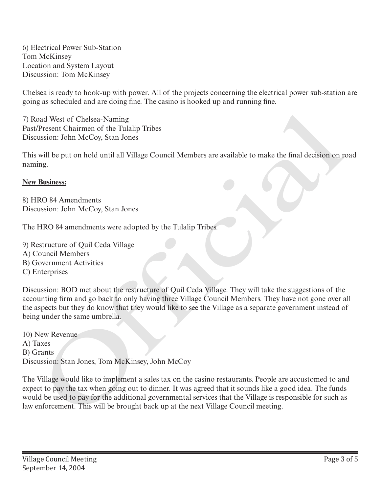6) Electrical Power Sub-Station Tom McKinsey Location and System Layout Discussion: Tom McKinsey

Chelsea is ready to hook-up with power. All of the projects concerning the electrical power sub-station are going as scheduled and are doing fine. The casino is hooked up and running fine.

7) Road West of Chelsea-Naming Past/Present Chairmen of the Tulalip Tribes Discussion: John McCoy, Stan Jones

This will be put on hold until all Village Council Members are available to make the final decision on road naming.

## **New Business:**

8) HRO 84 Amendments Discussion: John McCoy, Stan Jones

The HRO 84 amendments were adopted by the Tulalip Tribes.

9) Restructure of Quil Ceda Village

- A) Council Members
- B) Government Activities
- C) Enterprises

Discussion: BOD met about the restructure of Quil Ceda Village. They will take the suggestions of the accounting firm and go back to only having three Village Council Members. They have not gone over all the aspects but they do know that they would like to see the Village as a separate government instead of being under the same umbrella. 7) Road West of Chelsea-Naming<br>This vastic treatmen of the Fulalip Tribes<br>This will be put on hold until all Village Council Members are available to make the final decision on p<br>This will be put on hold until all Village

10) New Revenue A) Taxes B) Grants Discussion: Stan Jones, Tom McKinsey, John McCoy

The Village would like to implement a sales tax on the casino restaurants. People are accustomed to and expect to pay the tax when going out to dinner. It was agreed that it sounds like a good idea. The funds would be used to pay for the additional governmental services that the Village is responsible for such as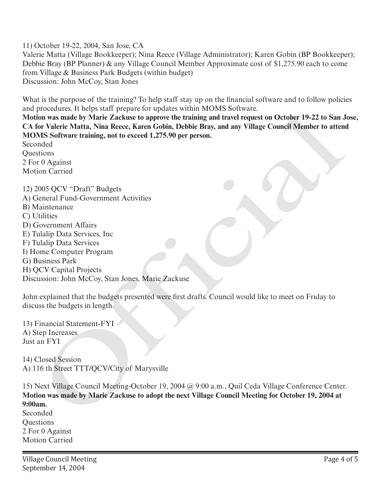11) October 19-22, 2004, San Jose, CA

Valerie Matta (Village Bookkeeper); Nina Reece (Village Administrator); Karen Gobin (BP Bookkeeper); Debbie Bray (BP Planner) & any Village Council Member Approximate cost of \$1,275.90 each to come from Village & Business Park Budgets (within budget) Discussion: John McCoy, Stan Jones

What is the purpose of the training? To help staff stay up on the financial software and to follow policies and procedures. It helps staff prepare for updates within MOMS Software.

**Motion was made by Marie Zackuse to approve the training and travel request on October 19-22 to San Jose, CA for Valerie Matta, Nina Reece, Karen Gobin, Debbie Bray, and any Village Council Member to attend MOMS Software training, not to exceed 1,275.90 per person.** 

Seconded **Ouestions** 2 For 0 Against Motion Carried

12) 2005 QCV "Draft" Budgets A) General Fund-Government Activities B) Maintenance C) Utilities D) Government Affairs E) Tulalip Data Services, Inc F) Tulalip Data Services I) Home Computer Program G) Business Park H) QCV Capital Projects Discussion: John McCoy, Stan Jones, Marie Zackuse procedured a transportant procedure transmission of the next Village Council Meeting for October 19-22 to San Jones and by Marie Zackuse to approve the training and travel request on October 19-22 to San Jones and MS Softw

John explained that the budgets presented were first drafts. Council would like to meet on Friday to discuss the budgets in length.

13) Financial Statement-FYI A) Step Increases Just an FYI

14) Closed Session A) 116 th Street TTT/QCV/City of Marysville

15) Next Village Council Meeting-October 19, 2004 @ 9:00 a.m., Quil Ceda Village Conference Center. **Motion was made by Marie Zackuse to adopt the next Village Council Meeting for October 19, 2004 at 9:00am.**

Seconded **Ouestions** 2 For 0 Against Motion Carried